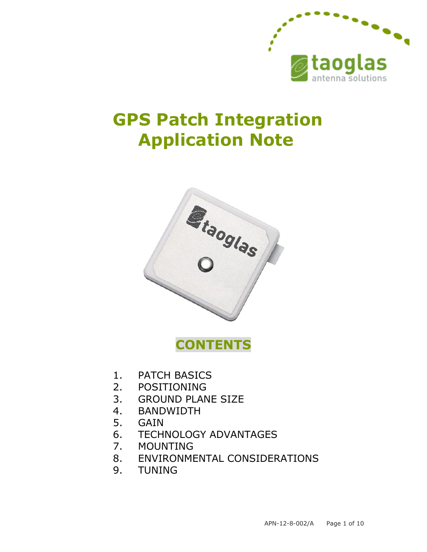

# **GPS Patch Integration Application Note**



**CONTENTS**

- 1. PATCH BASICS
- 2. POSITIONING
- 3. GROUND PLANE SIZE
- 4. BANDWIDTH
- 5. GAIN
- 6. TECHNOLOGY ADVANTAGES
- 7. MOUNTING
- 8. ENVIRONMENTAL CONSIDERATIONS
- 9. TUNING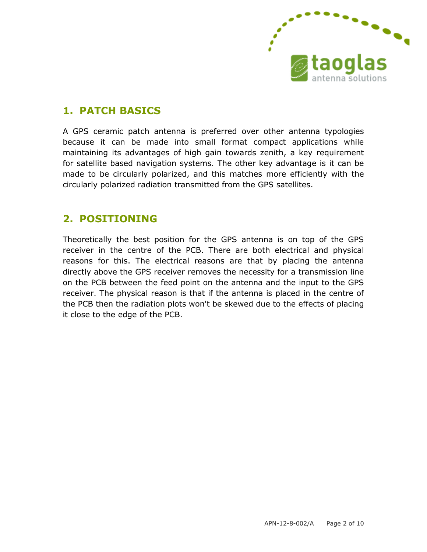

#### **1. PATCH BASICS**

A GPS ceramic patch antenna is preferred over other antenna typologies because it can be made into small format compact applications while maintaining its advantages of high gain towards zenith, a key requirement for satellite based navigation systems. The other key advantage is it can be made to be circularly polarized, and this matches more efficiently with the circularly polarized radiation transmitted from the GPS satellites.

#### **2. POSITIONING**

Theoretically the best position for the GPS antenna is on top of the GPS receiver in the centre of the PCB. There are both electrical and physical reasons for this. The electrical reasons are that by placing the antenna directly above the GPS receiver removes the necessity for a transmission line on the PCB between the feed point on the antenna and the input to the GPS receiver. The physical reason is that if the antenna is placed in the centre of the PCB then the radiation plots won't be skewed due to the effects of placing it close to the edge of the PCB.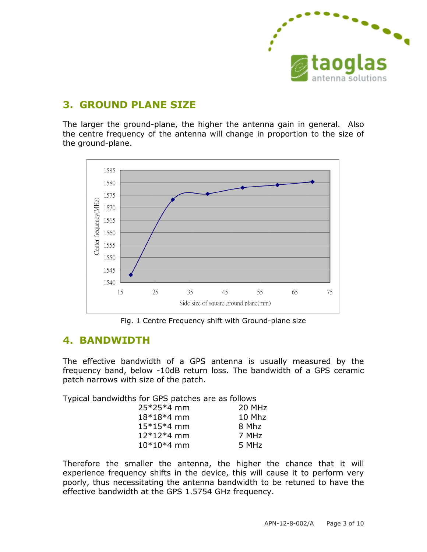

## **3. GROUND PLANE SIZE**

The larger the ground-plane, the higher the antenna gain in general. Also the centre frequency of the antenna will change in proportion to the size of the ground-plane.



Fig. 1 Centre Frequency shift with Ground-plane size

#### **4. BANDWIDTH**

The effective bandwidth of a GPS antenna is usually measured by the frequency band, below -10dB return loss. The bandwidth of a GPS ceramic patch narrows with size of the patch.

Typical bandwidths for GPS patches are as follows

| 25*25*4 mm   | 20 MHz |
|--------------|--------|
| $18*18*4$ mm | 10 Mhz |
| $15*15*4$ mm | 8 Mhz  |
| $12*12*4$ mm | 7 MHz  |
| $10*10*4$ mm | 5 MHz  |

Therefore the smaller the antenna, the higher the chance that it will experience frequency shifts in the device, this will cause it to perform very poorly, thus necessitating the antenna bandwidth to be retuned to have the effective bandwidth at the GPS 1.5754 GHz frequency.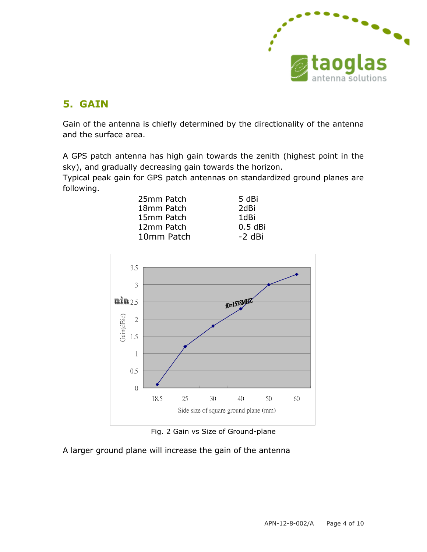

# **5. GAIN**

Gain of the antenna is chiefly determined by the directionality of the antenna and the surface area.

A GPS patch antenna has high gain towards the zenith (highest point in the sky), and gradually decreasing gain towards the horizon.

Typical peak gain for GPS patch antennas on standardized ground planes are following.

| 25mm Patch | 5 dBi     |
|------------|-----------|
| 18mm Patch | 2dBi      |
| 15mm Patch | 1dBi      |
| 12mm Patch | $0.5$ dBi |
| 10mm Patch | $-2$ dBi  |



Fig. 2 Gain vs Size of Ground-plane

A larger ground plane will increase the gain of the antenna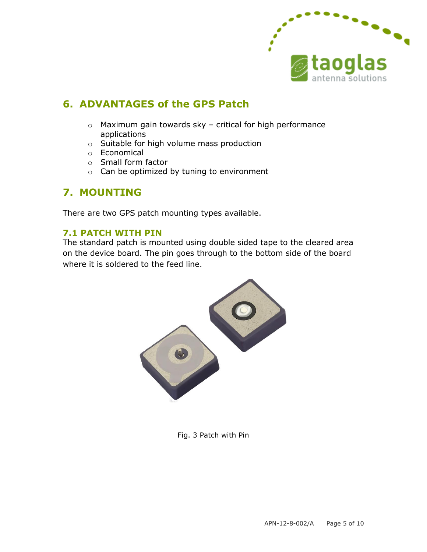

## **6. ADVANTAGES of the GPS Patch**

- o Maximum gain towards sky critical for high performance applications
- o Suitable for high volume mass production
- o Economical
- o Small form factor
- o Can be optimized by tuning to environment

## **7. MOUNTING**

There are two GPS patch mounting types available.

#### **7.1 PATCH WITH PIN**

The standard patch is mounted using double sided tape to the cleared area on the device board. The pin goes through to the bottom side of the board where it is soldered to the feed line.



Fig. 3 Patch with Pin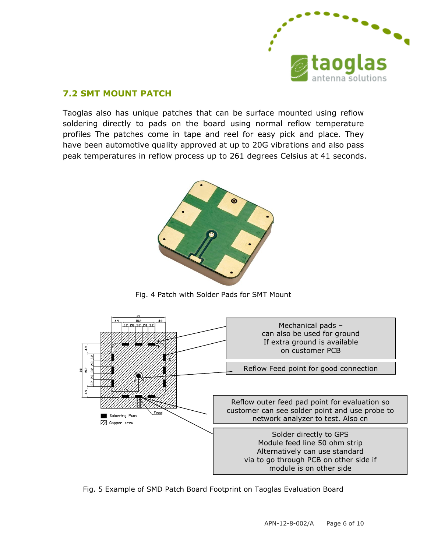

#### **7.2 SMT MOUNT PATCH**

Taoglas also has unique patches that can be surface mounted using reflow soldering directly to pads on the board using normal reflow temperature profiles The patches come in tape and reel for easy pick and place. They have been automotive quality approved at up to 20G vibrations and also pass peak temperatures in reflow process up to 261 degrees Celsius at 41 seconds.



Fig. 4 Patch with Solder Pads for SMT Mount



Fig. 5 Example of SMD Patch Board Footprint on Taoglas Evaluation Board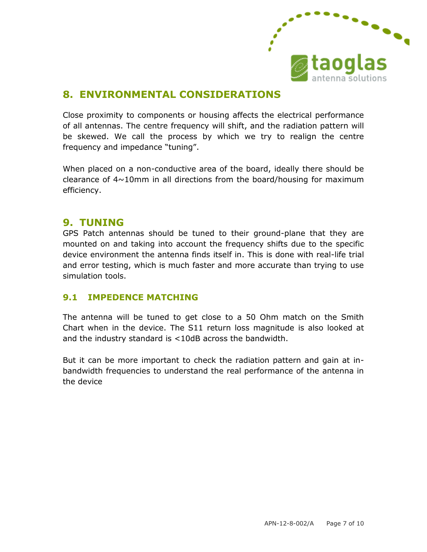

# **8. ENVIRONMENTAL CONSIDERATIONS**

Close proximity to components or housing affects the electrical performance of all antennas. The centre frequency will shift, and the radiation pattern will be skewed. We call the process by which we try to realign the centre frequency and impedance "tuning".

When placed on a non-conductive area of the board, ideally there should be clearance of  $4\sim10$ mm in all directions from the board/housing for maximum efficiency.

#### **9. TUNING**

GPS Patch antennas should be tuned to their ground-plane that they are mounted on and taking into account the frequency shifts due to the specific device environment the antenna finds itself in. This is done with real-life trial and error testing, which is much faster and more accurate than trying to use simulation tools.

#### **9.1 IMPEDENCE MATCHING**

The antenna will be tuned to get close to a 50 Ohm match on the Smith Chart when in the device. The S11 return loss magnitude is also looked at and the industry standard is <10dB across the bandwidth.

But it can be more important to check the radiation pattern and gain at inbandwidth frequencies to understand the real performance of the antenna in the device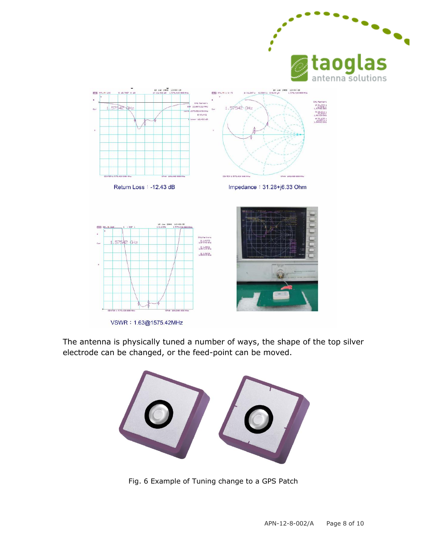

The antenna is physically tuned a number of ways, the shape of the top silver electrode can be changed, or the feed-point can be moved.



Fig. 6 Example of Tuning change to a GPS Patch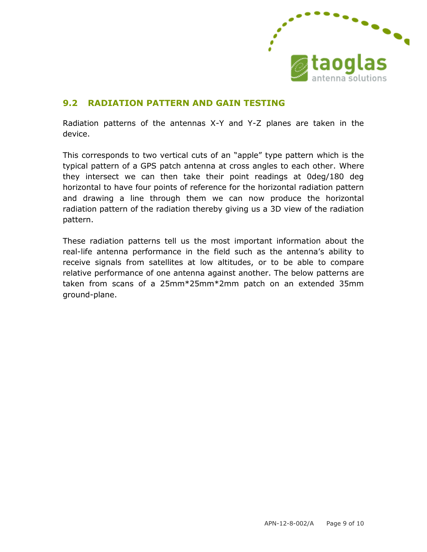

#### **9.2 RADIATION PATTERN AND GAIN TESTING**

Radiation patterns of the antennas X-Y and Y-Z planes are taken in the device.

This corresponds to two vertical cuts of an "apple" type pattern which is the typical pattern of a GPS patch antenna at cross angles to each other. Where they intersect we can then take their point readings at 0deg/180 deg horizontal to have four points of reference for the horizontal radiation pattern and drawing a line through them we can now produce the horizontal radiation pattern of the radiation thereby giving us a 3D view of the radiation pattern.

These radiation patterns tell us the most important information about the real-life antenna performance in the field such as the antenna's ability to receive signals from satellites at low altitudes, or to be able to compare relative performance of one antenna against another. The below patterns are taken from scans of a 25mm\*25mm\*2mm patch on an extended 35mm ground-plane.